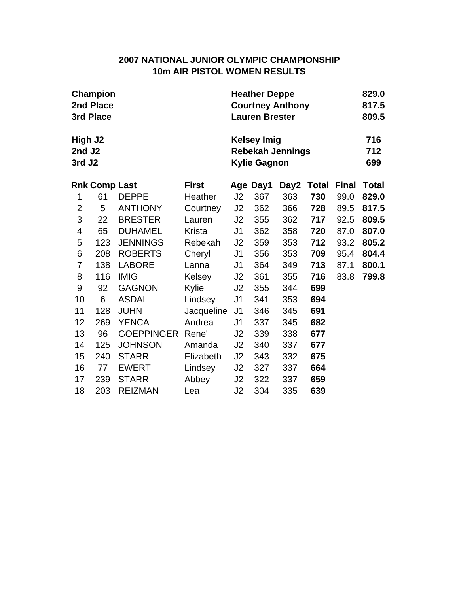## **2007 NATIONAL JUNIOR OLYMPIC CHAMPIONSHIP 10m AIR PISTOL WOMEN RESULTS**

|                                                     | Champion<br>2nd Place<br>3rd Place |                   |               | <b>Heather Deppe</b><br><b>Courtney Anthony</b><br><b>Lauren Brester</b> |          |                   |       |              |              |  |  |
|-----------------------------------------------------|------------------------------------|-------------------|---------------|--------------------------------------------------------------------------|----------|-------------------|-------|--------------|--------------|--|--|
| High J <sub>2</sub><br>2nd J <sub>2</sub><br>3rd J2 |                                    |                   |               | <b>Kelsey Imig</b><br><b>Rebekah Jennings</b><br><b>Kylie Gagnon</b>     |          | 716<br>712<br>699 |       |              |              |  |  |
|                                                     | <b>Rnk Comp Last</b>               |                   | <b>First</b>  |                                                                          | Age Day1 | Day2              | Total | <b>Final</b> | <b>Total</b> |  |  |
| 1                                                   | 61                                 | <b>DEPPE</b>      | Heather       | J <sub>2</sub>                                                           | 367      | 363               | 730   | 99.0         | 829.0        |  |  |
| 2                                                   | 5                                  | <b>ANTHONY</b>    | Courtney      | J <sub>2</sub>                                                           | 362      | 366               | 728   | 89.5         | 817.5        |  |  |
| 3                                                   | 22                                 | <b>BRESTER</b>    | Lauren        | J <sub>2</sub>                                                           | 355      | 362               | 717   | 92.5         | 809.5        |  |  |
| 4                                                   | 65                                 | <b>DUHAMEL</b>    | <b>Krista</b> | J <sub>1</sub>                                                           | 362      | 358               | 720   | 87.0         | 807.0        |  |  |
| 5                                                   | 123                                | <b>JENNINGS</b>   | Rebekah       | J2                                                                       | 359      | 353               | 712   | 93.2         | 805.2        |  |  |
| 6                                                   | 208                                | <b>ROBERTS</b>    | Cheryl        | J <sub>1</sub>                                                           | 356      | 353               | 709   | 95.4         | 804.4        |  |  |
| 7                                                   | 138                                | <b>LABORE</b>     | Lanna         | J <sub>1</sub>                                                           | 364      | 349               | 713   | 87.1         | 800.1        |  |  |
| 8                                                   | 116                                | <b>IMIG</b>       | Kelsey        | J <sub>2</sub>                                                           | 361      | 355               | 716   | 83.8         | 799.8        |  |  |
| 9                                                   | 92                                 | <b>GAGNON</b>     | Kylie         | J2                                                                       | 355      | 344               | 699   |              |              |  |  |
| 10                                                  | 6                                  | <b>ASDAL</b>      | Lindsey       | J <sub>1</sub>                                                           | 341      | 353               | 694   |              |              |  |  |
| 11                                                  | 128                                | <b>JUHN</b>       | Jacqueline    | J <sub>1</sub>                                                           | 346      | 345               | 691   |              |              |  |  |
| 12                                                  | 269                                | <b>YENCA</b>      | Andrea        | J1                                                                       | 337      | 345               | 682   |              |              |  |  |
| 13                                                  | 96                                 | <b>GOEPPINGER</b> | Rene'         | J <sub>2</sub>                                                           | 339      | 338               | 677   |              |              |  |  |
| 14                                                  | 125                                | <b>JOHNSON</b>    | Amanda        | J <sub>2</sub>                                                           | 340      | 337               | 677   |              |              |  |  |
| 15                                                  | 240                                | <b>STARR</b>      | Elizabeth     | J <sub>2</sub>                                                           | 343      | 332               | 675   |              |              |  |  |
| 16                                                  | 77                                 | <b>EWERT</b>      | Lindsey       | J <sub>2</sub>                                                           | 327      | 337               | 664   |              |              |  |  |
| 17                                                  | 239                                | <b>STARR</b>      | Abbey         | J2                                                                       | 322      | 337               | 659   |              |              |  |  |
| 18                                                  | 203                                | <b>REIZMAN</b>    | Lea           | J <sub>2</sub>                                                           | 304      | 335               | 639   |              |              |  |  |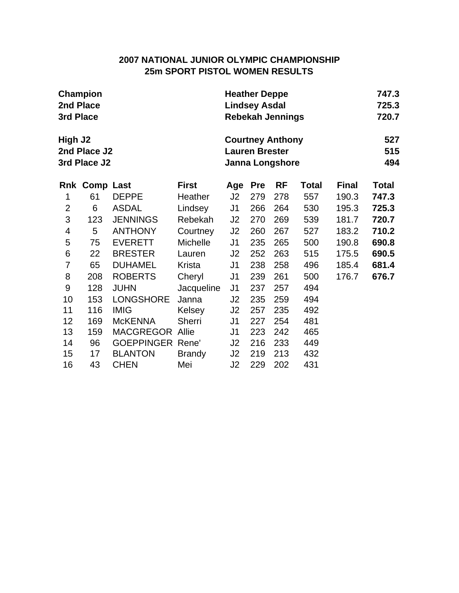# **2007 NATIONAL JUNIOR OLYMPIC CHAMPIONSHIP 25m SPORT PISTOL WOMEN RESULTS**

|                | Champion                     |                         |                 | <b>Heather Deppe</b> |                       | 747.3                                             |              |              |                   |  |  |
|----------------|------------------------------|-------------------------|-----------------|----------------------|-----------------------|---------------------------------------------------|--------------|--------------|-------------------|--|--|
|                | 2nd Place                    |                         |                 |                      | <b>Lindsey Asdal</b>  |                                                   |              |              | 725.3             |  |  |
| 3rd Place      |                              |                         |                 |                      |                       | <b>Rebekah Jennings</b>                           |              |              | 720.7             |  |  |
| High J2        | 2nd Place J2<br>3rd Place J2 |                         |                 |                      | <b>Lauren Brester</b> | <b>Courtney Anthony</b><br><b>Janna Longshore</b> |              |              | 527<br>515<br>494 |  |  |
|                | <b>Rnk Comp Last</b>         |                         | <b>First</b>    | Age                  | <b>Pre</b>            | RF                                                | <b>Total</b> | <b>Final</b> | <b>Total</b>      |  |  |
| 1              | 61                           | <b>DEPPE</b>            | Heather         | J2                   | 279                   | 278                                               | 557          | 190.3        | 747.3             |  |  |
| $\overline{2}$ | 6                            | <b>ASDAL</b>            | Lindsey         | J1                   | 266                   | 264                                               | 530          | 195.3        | 725.3             |  |  |
| 3              | 123                          | <b>JENNINGS</b>         | Rebekah         | J2                   | 270                   | 269                                               | 539          | 181.7        | 720.7             |  |  |
| 4              | 5                            | <b>ANTHONY</b>          | Courtney        | J2                   | 260                   | 267                                               | 527          | 183.2        | 710.2             |  |  |
| 5              | 75                           | <b>EVERETT</b>          | <b>Michelle</b> | J1                   | 235                   | 265                                               | 500          | 190.8        | 690.8             |  |  |
| $\,6$          | 22                           | <b>BRESTER</b>          | Lauren          | J2                   | 252                   | 263                                               | 515          | 175.5        | 690.5             |  |  |
| $\overline{7}$ | 65                           | <b>DUHAMEL</b>          | Krista          | J1                   | 238                   | 258                                               | 496          | 185.4        | 681.4             |  |  |
| 8              | 208                          | <b>ROBERTS</b>          | Cheryl          | J <sub>1</sub>       | 239                   | 261                                               | 500          | 176.7        | 676.7             |  |  |
| 9              | 128                          | <b>JUHN</b>             | Jacqueline      | J <sub>1</sub>       | 237                   | 257                                               | 494          |              |                   |  |  |
| 10             | 153                          | <b>LONGSHORE</b>        | Janna           | J2                   | 235                   | 259                                               | 494          |              |                   |  |  |
| 11             | 116                          | <b>IMIG</b>             | Kelsey          | J2                   | 257                   | 235                                               | 492          |              |                   |  |  |
| 12             | 169                          | <b>McKENNA</b>          | <b>Sherri</b>   | J <sub>1</sub>       | 227                   | 254                                               | 481          |              |                   |  |  |
| 13             | 159                          | <b>MACGREGOR Allie</b>  |                 | J1                   | 223                   | 242                                               | 465          |              |                   |  |  |
| 14             | 96                           | <b>GOEPPINGER Rene'</b> |                 | J <sub>2</sub>       | 216                   | 233                                               | 449          |              |                   |  |  |
| 15             | 17                           | <b>BLANTON</b>          | <b>Brandy</b>   | J2                   | 219                   | 213                                               | 432          |              |                   |  |  |
| 16             | 43                           | <b>CHEN</b>             | Mei             | J2                   | 229                   | 202                                               | 431          |              |                   |  |  |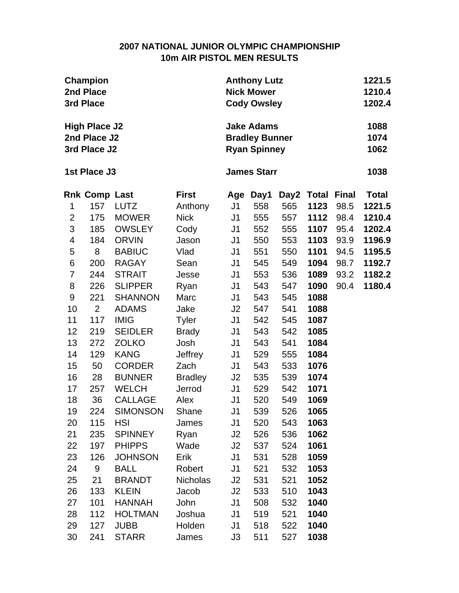#### **2007 NATIONAL JUNIOR OLYMPIC CHAMPIONSHIP 10m AIR PISTOL MEN RESULTS**

|                | Champion<br>2nd Place<br>3rd Place                   |                                | <b>Anthony Lutz</b><br><b>Nick Mower</b><br><b>Cody Owsley</b> |                      | 1221.5<br>1210.4<br>1202.4                                        |            |              |              |                      |
|----------------|------------------------------------------------------|--------------------------------|----------------------------------------------------------------|----------------------|-------------------------------------------------------------------|------------|--------------|--------------|----------------------|
|                | <b>High Place J2</b><br>2nd Place J2<br>3rd Place J2 |                                |                                                                |                      | <b>Jake Adams</b><br><b>Bradley Bunner</b><br><b>Ryan Spinney</b> |            |              |              | 1088<br>1074<br>1062 |
|                | 1st Place J3                                         |                                |                                                                |                      | <b>James Starr</b>                                                |            |              |              | 1038                 |
|                | <b>Rnk Comp Last</b>                                 |                                | <b>First</b>                                                   | Age                  | Day1                                                              | Day2       | <b>Total</b> | <b>Final</b> | <b>Total</b>         |
| 1              | 157                                                  | <b>LUTZ</b>                    | Anthony                                                        | J <sub>1</sub>       | 558                                                               | 565        | 1123         | 98.5         | 1221.5               |
| $\overline{2}$ | 175                                                  | <b>MOWER</b>                   | <b>Nick</b>                                                    | J <sub>1</sub>       | 555                                                               | 557        | 1112         | 98.4         | 1210.4               |
| 3              | 185                                                  | <b>OWSLEY</b>                  | Cody                                                           | J <sub>1</sub>       | 552                                                               | 555        | 1107         | 95.4         | 1202.4               |
| 4              | 184                                                  | <b>ORVIN</b>                   | Jason                                                          | J <sub>1</sub>       | 550                                                               | 553        | 1103         | 93.9         | 1196.9               |
| 5              | 8                                                    | <b>BABIUC</b>                  | Vlad                                                           | J <sub>1</sub>       | 551                                                               | 550        | 1101         | 94.5         | 1195.5               |
| 6              | 200                                                  | <b>RAGAY</b>                   | Sean                                                           | J <sub>1</sub>       | 545                                                               | 549        | 1094         | 98.7         | 1192.7               |
| $\overline{7}$ | 244                                                  | <b>STRAIT</b>                  | Jesse                                                          | J <sub>1</sub>       | 553                                                               | 536        | 1089         | 93.2         | 1182.2               |
| 8              | 226                                                  | <b>SLIPPER</b>                 | Ryan                                                           | J <sub>1</sub>       | 543                                                               | 547        | 1090         | 90.4         | 1180.4               |
| 9<br>10        | 221<br>2                                             | <b>SHANNON</b><br><b>ADAMS</b> | Marc<br>Jake                                                   | J <sub>1</sub><br>J2 | 543<br>547                                                        | 545<br>541 | 1088<br>1088 |              |                      |
| 11             | 117                                                  | <b>IMIG</b>                    | <b>Tyler</b>                                                   | J <sub>1</sub>       | 542                                                               | 545        | 1087         |              |                      |
| 12             | 219                                                  | <b>SEIDLER</b>                 | <b>Brady</b>                                                   | J <sub>1</sub>       | 543                                                               | 542        | 1085         |              |                      |
| 13             | 272                                                  | <b>ZOLKO</b>                   | Josh                                                           | J <sub>1</sub>       | 543                                                               | 541        | 1084         |              |                      |
| 14             | 129                                                  | <b>KANG</b>                    | Jeffrey                                                        | J <sub>1</sub>       | 529                                                               | 555        | 1084         |              |                      |
| 15             | 50                                                   | <b>CORDER</b>                  | Zach                                                           | J <sub>1</sub>       | 543                                                               | 533        | 1076         |              |                      |
| 16             | 28                                                   | <b>BUNNER</b>                  | <b>Bradley</b>                                                 | J2                   | 535                                                               | 539        | 1074         |              |                      |
| 17             | 257                                                  | <b>WELCH</b>                   | Jerrod                                                         | J1                   | 529                                                               | 542        | 1071         |              |                      |
| 18             | 36                                                   | <b>CALLAGE</b>                 | Alex                                                           | J <sub>1</sub>       | 520                                                               | 549        | 1069         |              |                      |
| 19             | 224                                                  | <b>SIMONSON</b>                | Shane                                                          | J <sub>1</sub>       | 539                                                               | 526        | 1065         |              |                      |
| 20             | 115                                                  | <b>HSI</b>                     | James                                                          | J1                   | 520                                                               | 543        | 1063         |              |                      |
| 21             | 235                                                  | <b>SPINNEY</b>                 | Ryan                                                           | J2                   | 526                                                               | 536        | 1062         |              |                      |
| 22             | 197                                                  | <b>PHIPPS</b>                  | Wade                                                           | J <sub>2</sub>       | 537                                                               | 524        | 1061         |              |                      |
| 23             | 126                                                  | <b>JOHNSON</b>                 | Erik                                                           | J <sub>1</sub>       | 531                                                               | 528        | 1059         |              |                      |
| 24             | 9                                                    | <b>BALL</b>                    | Robert                                                         | J <sub>1</sub>       | 521                                                               | 532        | 1053         |              |                      |
| 25             | 21                                                   | <b>BRANDT</b>                  | <b>Nicholas</b>                                                | J2                   | 531                                                               | 521        | 1052         |              |                      |
| 26             | 133                                                  | <b>KLEIN</b>                   | Jacob                                                          | J2                   | 533                                                               | 510        | 1043         |              |                      |
| 27             | 101                                                  | <b>HANNAH</b>                  | John                                                           | J <sub>1</sub>       | 508                                                               | 532        | 1040         |              |                      |
| 28             | 112                                                  | <b>HOLTMAN</b>                 | Joshua                                                         | J <sub>1</sub>       | 519                                                               | 521        | 1040         |              |                      |
| 29             | 127                                                  | <b>JUBB</b>                    | Holden                                                         | J <sub>1</sub>       | 518                                                               | 522        | 1040         |              |                      |
| 30             | 241                                                  | <b>STARR</b>                   | James                                                          | J3                   | 511                                                               | 527        | 1038         |              |                      |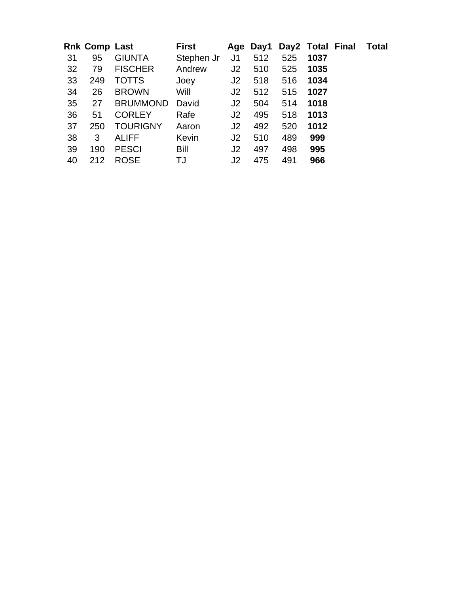|    | Rnk Comp Last |                 | First      |                |     |     |      | Age Day1 Day2 Total Final | <b>Total</b> |
|----|---------------|-----------------|------------|----------------|-----|-----|------|---------------------------|--------------|
| 31 | 95            | <b>GIUNTA</b>   | Stephen Jr | J <sub>1</sub> | 512 | 525 | 1037 |                           |              |
| 32 | 79            | <b>FISCHER</b>  | Andrew     | J2             | 510 | 525 | 1035 |                           |              |
| 33 | 249           | <b>TOTTS</b>    | Joey       | J <sub>2</sub> | 518 | 516 | 1034 |                           |              |
| 34 | 26            | <b>BROWN</b>    | Will       | J <sub>2</sub> | 512 | 515 | 1027 |                           |              |
| 35 | 27            | <b>BRUMMOND</b> | David      | J2             | 504 | 514 | 1018 |                           |              |
| 36 | 51            | <b>CORLEY</b>   | Rafe       | J2             | 495 | 518 | 1013 |                           |              |
| 37 | 250           | <b>TOURIGNY</b> | Aaron      | J2             | 492 | 520 | 1012 |                           |              |
| 38 | 3             | <b>ALIFF</b>    | Kevin      | J <sub>2</sub> | 510 | 489 | 999  |                           |              |
| 39 | 190           | <b>PESCI</b>    | Bill       | J <sub>2</sub> | 497 | 498 | 995  |                           |              |
| 40 | 212           | <b>ROSE</b>     | TJ         | J <sub>2</sub> | 475 | 491 | 966  |                           |              |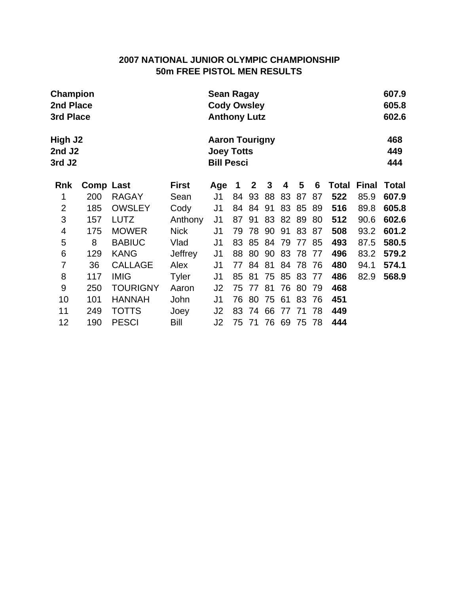# **2007 NATIONAL JUNIOR OLYMPIC CHAMPIONSHIP 50m FREE PISTOL MEN RESULTS**

|                                                     | <b>Champion</b><br>2nd Place<br>3rd Place |                 |              |                                                                 |    | Sean Ragay<br><b>Cody Owsley</b><br><b>Anthony Lutz</b> |    |    |    |    |       |              |                   |
|-----------------------------------------------------|-------------------------------------------|-----------------|--------------|-----------------------------------------------------------------|----|---------------------------------------------------------|----|----|----|----|-------|--------------|-------------------|
| High J2<br>2nd J <sub>2</sub><br>3rd J <sub>2</sub> |                                           |                 |              | <b>Aaron Tourigny</b><br><b>Joey Totts</b><br><b>Bill Pesci</b> |    |                                                         |    |    |    |    |       |              | 468<br>449<br>444 |
| <b>Rnk</b>                                          | Comp Last                                 |                 | <b>First</b> | Age                                                             | 1  | 2                                                       | 3  | 4  | 5  | 6  | Total | <b>Final</b> | <b>Total</b>      |
| 1                                                   | 200                                       | <b>RAGAY</b>    | Sean         | J1                                                              | 84 | 93                                                      | 88 | 83 | 87 | 87 | 522   | 85.9         | 607.9             |
| $\overline{2}$                                      | 185                                       | <b>OWSLEY</b>   | Cody         | J <sub>1</sub>                                                  | 84 | 84                                                      | 91 | 83 | 85 | 89 | 516   | 89.8         | 605.8             |
| 3                                                   | 157                                       | <b>LUTZ</b>     | Anthony      | J1                                                              | 87 | 91                                                      | 83 | 82 | 89 | 80 | 512   | 90.6         | 602.6             |
| 4                                                   | 175                                       | <b>MOWER</b>    | <b>Nick</b>  | J <sub>1</sub>                                                  | 79 | 78                                                      | 90 | 91 | 83 | 87 | 508   | 93.2         | 601.2             |
| 5                                                   | 8                                         | <b>BABIUC</b>   | Vlad         | J <sub>1</sub>                                                  | 83 | 85                                                      | 84 | 79 | 77 | 85 | 493   | 87.5         | 580.5             |
| 6                                                   | 129                                       | <b>KANG</b>     | Jeffrey      | J <sub>1</sub>                                                  | 88 | 80                                                      | 90 | 83 | 78 | 77 | 496   | 83.2         | 579.2             |
| 7                                                   | 36                                        | <b>CALLAGE</b>  | Alex         | J <sub>1</sub>                                                  | 77 | 84                                                      | 81 | 84 | 78 | 76 | 480   | 94.1         | 574.1             |
| 8                                                   | 117                                       | <b>IMIG</b>     | <b>Tyler</b> | J1                                                              | 85 | 81                                                      | 75 | 85 | 83 | 77 | 486   | 82.9         | 568.9             |
| 9                                                   | 250                                       | <b>TOURIGNY</b> | Aaron        | J <sub>2</sub>                                                  | 75 | 77                                                      | 81 | 76 | 80 | 79 | 468   |              |                   |
| 10                                                  | 101                                       | <b>HANNAH</b>   | John         | J1                                                              | 76 | 80                                                      | 75 | 61 | 83 | 76 | 451   |              |                   |
| 11                                                  | 249                                       | TOTTS           | Joey         | J <sub>2</sub>                                                  | 83 | 74                                                      | 66 | 77 | 71 | 78 | 449   |              |                   |
| 12                                                  | 190                                       | <b>PESCI</b>    | Bill         | J2                                                              | 75 | 71                                                      | 76 | 69 | 75 | 78 | 444   |              |                   |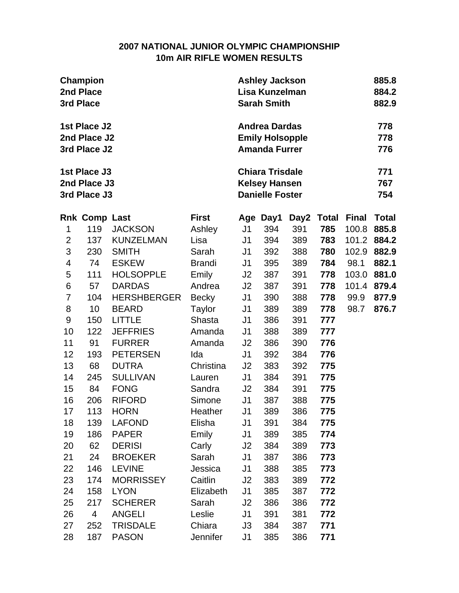### **2007 NATIONAL JUNIOR OLYMPIC CHAMPIONSHIP 10m AIR RIFLE WOMEN RESULTS**

|                | <b>Champion</b><br>2nd Place<br>3rd Place    |                               |                      | <b>Ashley Jackson</b><br>Lisa Kunzelman<br><b>Sarah Smith</b> |                                                                          |            |              |              |                   |
|----------------|----------------------------------------------|-------------------------------|----------------------|---------------------------------------------------------------|--------------------------------------------------------------------------|------------|--------------|--------------|-------------------|
|                | 1st Place J2<br>2nd Place J2<br>3rd Place J2 |                               |                      |                                                               | <b>Andrea Dardas</b><br><b>Emily Holsopple</b><br><b>Amanda Furrer</b>   |            |              |              | 778<br>778<br>776 |
|                | 1st Place J3<br>2nd Place J3<br>3rd Place J3 |                               |                      |                                                               | <b>Chiara Trisdale</b><br><b>Kelsey Hansen</b><br><b>Danielle Foster</b> |            |              |              | 771<br>767<br>754 |
|                | <b>Rnk Comp Last</b>                         |                               | <b>First</b>         |                                                               | Age Day1                                                                 | Day2       | <b>Total</b> | <b>Final</b> | <b>Total</b>      |
| 1              | 119                                          | <b>JACKSON</b>                | Ashley               | J1                                                            | 394                                                                      | 391        | 785          | 100.8        | 885.8             |
| $\overline{2}$ | 137                                          | <b>KUNZELMAN</b>              | Lisa                 | J1                                                            | 394                                                                      | 389        | 783          | 101.2        | 884.2             |
| 3              | 230                                          | <b>SMITH</b>                  | Sarah                | J1                                                            | 392                                                                      | 388        | 780          | 102.9        | 882.9             |
| 4              | 74                                           | <b>ESKEW</b>                  | <b>Brandi</b>        | J <sub>1</sub>                                                | 395                                                                      | 389        | 784          | 98.1         | 882.1             |
| 5              | 111                                          | <b>HOLSOPPLE</b>              | Emily                | J2                                                            | 387                                                                      | 391        | 778          | 103.0        | 881.0             |
| 6              | 57                                           | <b>DARDAS</b>                 | Andrea               | J2                                                            | 387                                                                      | 391        | 778          | 101.4        | 879.4             |
| $\overline{7}$ | 104                                          | <b>HERSHBERGER</b>            | Becky                | J <sub>1</sub>                                                | 390                                                                      | 388        | 778          | 99.9         | 877.9             |
| 8              | 10                                           | <b>BEARD</b>                  | Taylor               | J1                                                            | 389                                                                      | 389        | 778          | 98.7         | 876.7             |
| 9              | 150                                          | <b>LITTLE</b>                 | Shasta               | J1                                                            | 386                                                                      | 391        | 777          |              |                   |
| 10             | 122                                          | <b>JEFFRIES</b>               | Amanda               | J1                                                            | 388                                                                      | 389        | 777          |              |                   |
| 11             | 91                                           | <b>FURRER</b>                 | Amanda               | J <sub>2</sub>                                                | 386                                                                      | 390        | 776          |              |                   |
| 12             | 193                                          | <b>PETERSEN</b>               | Ida                  | J1                                                            | 392                                                                      | 384        | 776          |              |                   |
| 13             | 68                                           | <b>DUTRA</b>                  | Christina            | J2                                                            | 383                                                                      | 392        | 775          |              |                   |
| 14             | 245                                          | <b>SULLIVAN</b>               | Lauren               | J1                                                            | 384                                                                      | 391        | 775          |              |                   |
| 15             | 84                                           | <b>FONG</b>                   | Sandra               | J2                                                            | 384                                                                      | 391        | 775          |              |                   |
| 16             | 206                                          | <b>RIFORD</b>                 | Simone               | J <sub>1</sub>                                                | 387                                                                      | 388        | 775          |              |                   |
| 17             | 113                                          | <b>HORN</b>                   | Heather              | J <sub>1</sub>                                                | 389                                                                      | 386        | 775          |              |                   |
| 18             | 139                                          | <b>LAFOND</b>                 | Elisha               | J1                                                            | 391                                                                      | 384        | 775          |              |                   |
| 19<br>20       | 186<br>62                                    | <b>PAPER</b><br><b>DERISI</b> | Emily                | J1                                                            | 389                                                                      | 385        | 774          |              |                   |
| 21             | 24                                           | <b>BROEKER</b>                | Carly<br>Sarah       | J <sub>2</sub><br>J <sub>1</sub>                              | 384<br>387                                                               | 389<br>386 | 773<br>773   |              |                   |
| 22             | 146                                          | <b>LEVINE</b>                 | Jessica              | J1                                                            | 388                                                                      | 385        | 773          |              |                   |
|                |                                              | <b>MORRISSEY</b>              |                      |                                                               |                                                                          |            |              |              |                   |
| 23<br>24       | 174<br>158                                   | <b>LYON</b>                   | Caitlin<br>Elizabeth | J <sub>2</sub><br>J <sub>1</sub>                              | 383<br>385                                                               | 389<br>387 | 772<br>772   |              |                   |
| 25             | 217                                          | <b>SCHERER</b>                | Sarah                | J2                                                            | 386                                                                      | 386        | 772          |              |                   |
| 26             | 4                                            | <b>ANGELI</b>                 | Leslie               | J1                                                            | 391                                                                      | 381        | 772          |              |                   |
| 27             | 252                                          | <b>TRISDALE</b>               | Chiara               | J3                                                            | 384                                                                      | 387        | 771          |              |                   |
| 28             | 187                                          | <b>PASON</b>                  | Jennifer             | J1                                                            | 385                                                                      | 386        | 771          |              |                   |
|                |                                              |                               |                      |                                                               |                                                                          |            |              |              |                   |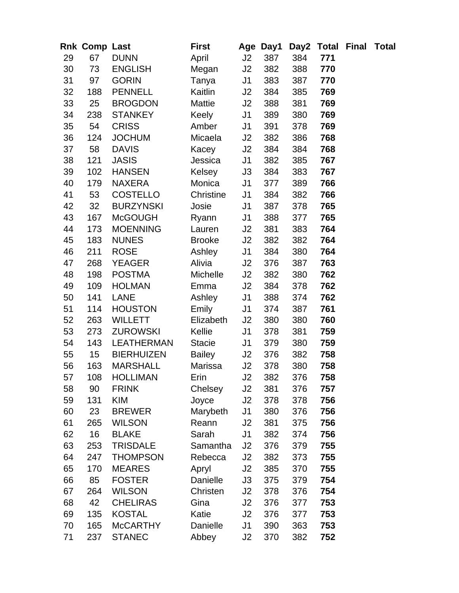|    | Rnk Comp Last    |                   | <b>First</b>  |                | Age Day1 |     | Day2 Total Final | Total |
|----|------------------|-------------------|---------------|----------------|----------|-----|------------------|-------|
| 29 | 67               | <b>DUNN</b>       | April         | J2             | 387      | 384 | 771              |       |
| 30 | 73               | <b>ENGLISH</b>    | Megan         | J2             | 382      | 388 | 770              |       |
| 31 | 97               | <b>GORIN</b>      | Tanya         | J <sub>1</sub> | 383      | 387 | 770              |       |
| 32 | 188              | <b>PENNELL</b>    | Kaitlin       | J2             | 384      | 385 | 769              |       |
| 33 | 25               | <b>BROGDON</b>    | Mattie        | J2             | 388      | 381 | 769              |       |
| 34 | 238              | <b>STANKEY</b>    | Keely         | J <sub>1</sub> | 389      | 380 | 769              |       |
| 35 | 54               | <b>CRISS</b>      | Amber         | J <sub>1</sub> | 391      | 378 | 769              |       |
| 36 | 124              | <b>JOCHUM</b>     | Micaela       | J2             | 382      | 386 | 768              |       |
| 37 | 58               | <b>DAVIS</b>      | Kacey         | J2             | 384      | 384 | 768              |       |
| 38 | 121              | <b>JASIS</b>      | Jessica       | J <sub>1</sub> | 382      | 385 | 767              |       |
| 39 | 102              | <b>HANSEN</b>     | Kelsey        | J3             | 384      | 383 | 767              |       |
| 40 | 179              | NAXERA            | Monica        | J <sub>1</sub> | 377      | 389 | 766              |       |
| 41 | 53               | <b>COSTELLO</b>   | Christine     | J <sub>1</sub> | 384      | 382 | 766              |       |
| 42 | 32               | <b>BURZYNSKI</b>  | Josie         | J <sub>1</sub> | 387      | 378 | 765              |       |
| 43 | 167              | <b>McGOUGH</b>    | Ryann         | J <sub>1</sub> | 388      | 377 | 765              |       |
| 44 | 173              | <b>MOENNING</b>   | Lauren        | J2             | 381      | 383 | 764              |       |
| 45 | 183              | <b>NUNES</b>      | <b>Brooke</b> | J2             | 382      | 382 | 764              |       |
| 46 | 211              | <b>ROSE</b>       | Ashley        | J <sub>1</sub> | 384      | 380 | 764              |       |
| 47 | 268              | YEAGER            | Alivia        | J2             | 376      | 387 | 763              |       |
| 48 | 198              | <b>POSTMA</b>     | Michelle      | J <sub>2</sub> | 382      | 380 | 762              |       |
| 49 | 109              | <b>HOLMAN</b>     | Emma          | J2             | 384      | 378 | 762              |       |
| 50 | 141              | <b>LANE</b>       | Ashley        | J <sub>1</sub> | 388      | 374 | 762              |       |
| 51 | 114              | <b>HOUSTON</b>    | Emily         | J <sub>1</sub> | 374      | 387 | 761              |       |
| 52 | 263              | <b>WILLETT</b>    | Elizabeth     | J2             | 380      | 380 | 760              |       |
| 53 | 273              | <b>ZUROWSKI</b>   | Kellie        | J <sub>1</sub> | 378      | 381 | 759              |       |
| 54 | 143              | <b>LEATHERMAN</b> | <b>Stacie</b> | J <sub>1</sub> | 379      | 380 | 759              |       |
| 55 | 15 <sub>15</sub> | <b>BIERHUIZEN</b> | <b>Bailey</b> | J2             | 376      | 382 | 758              |       |
| 56 | 163              | <b>MARSHALL</b>   | Marissa       | J2             | 378      | 380 | 758              |       |
| 57 | 108              | <b>HOLLIMAN</b>   | Erin          | J2             | 382      | 376 | 758              |       |
| 58 | 90               | <b>FRINK</b>      | Chelsey       | J2             | 381      | 376 | 757              |       |
| 59 | 131              | <b>KIM</b>        | Joyce         | J2             | 378      | 378 | 756              |       |
| 60 | 23               | <b>BREWER</b>     | Marybeth      | J1             | 380      | 376 | 756              |       |
| 61 | 265              | <b>WILSON</b>     | Reann         | J2             | 381      | 375 | 756              |       |
| 62 | 16               | <b>BLAKE</b>      | Sarah         | J <sub>1</sub> | 382      | 374 | 756              |       |
| 63 | 253              | <b>TRISDALE</b>   | Samantha      | J2             | 376      | 379 | 755              |       |
| 64 | 247              | <b>THOMPSON</b>   | Rebecca       | J <sub>2</sub> | 382      | 373 | 755              |       |
| 65 | 170              | <b>MEARES</b>     | Apryl         | J2             | 385      | 370 | 755              |       |
| 66 | 85               | <b>FOSTER</b>     | Danielle      | J3             | 375      | 379 | 754              |       |
| 67 | 264              | <b>WILSON</b>     | Christen      | J <sub>2</sub> | 378      | 376 | 754              |       |
| 68 | 42               | <b>CHELIRAS</b>   | Gina          | J2             | 376      | 377 | 753              |       |
| 69 | 135              | <b>KOSTAL</b>     | Katie         | J2             | 376      | 377 | 753              |       |
| 70 | 165              | <b>McCARTHY</b>   | Danielle      | J <sub>1</sub> | 390      | 363 | 753              |       |
| 71 | 237              | <b>STANEC</b>     | Abbey         | J2             | 370      | 382 | 752              |       |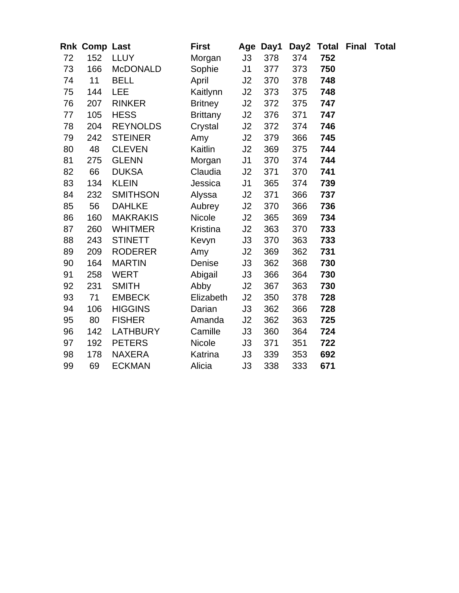|    | Rnk Comp Last |                 | <b>First</b>    |                | Age Day1 |     | Day2 Total Final | <b>Total</b> |
|----|---------------|-----------------|-----------------|----------------|----------|-----|------------------|--------------|
| 72 | 152           | <b>LLUY</b>     | Morgan          | J3             | 378      | 374 | 752              |              |
| 73 | 166           | <b>McDONALD</b> | Sophie          | J <sub>1</sub> | 377      | 373 | 750              |              |
| 74 | 11            | <b>BELL</b>     | April           | J2             | 370      | 378 | 748              |              |
| 75 | 144           | <b>LEE</b>      | Kaitlynn        | J2             | 373      | 375 | 748              |              |
| 76 | 207           | <b>RINKER</b>   | <b>Britney</b>  | J2             | 372      | 375 | 747              |              |
| 77 | 105           | <b>HESS</b>     | <b>Brittany</b> | J2             | 376      | 371 | 747              |              |
| 78 | 204           | <b>REYNOLDS</b> | Crystal         | J2             | 372      | 374 | 746              |              |
| 79 | 242           | <b>STEINER</b>  | Amy             | J2             | 379      | 366 | 745              |              |
| 80 | 48            | <b>CLEVEN</b>   | Kaitlin         | J2             | 369      | 375 | 744              |              |
| 81 | 275           | <b>GLENN</b>    | Morgan          | J <sub>1</sub> | 370      | 374 | 744              |              |
| 82 | 66            | <b>DUKSA</b>    | Claudia         | J2             | 371      | 370 | 741              |              |
| 83 | 134           | <b>KLEIN</b>    | Jessica         | J <sub>1</sub> | 365      | 374 | 739              |              |
| 84 | 232           | <b>SMITHSON</b> | Alyssa          | J2             | 371      | 366 | 737              |              |
| 85 | 56            | <b>DAHLKE</b>   | Aubrey          | J2             | 370      | 366 | 736              |              |
| 86 | 160           | <b>MAKRAKIS</b> | Nicole          | J2             | 365      | 369 | 734              |              |
| 87 | 260           | <b>WHITMER</b>  | Kristina        | J2             | 363      | 370 | 733              |              |
| 88 | 243           | <b>STINETT</b>  | Kevyn           | J3             | 370      | 363 | 733              |              |
| 89 | 209           | <b>RODERER</b>  | Amy             | J2             | 369      | 362 | 731              |              |
| 90 | 164           | <b>MARTIN</b>   | Denise          | J3             | 362      | 368 | 730              |              |
| 91 | 258           | <b>WERT</b>     | Abigail         | J3             | 366      | 364 | 730              |              |
| 92 | 231           | <b>SMITH</b>    | Abby            | J2             | 367      | 363 | 730              |              |
| 93 | 71            | <b>EMBECK</b>   | Elizabeth       | J2             | 350      | 378 | 728              |              |
| 94 | 106           | <b>HIGGINS</b>  | Darian          | J3             | 362      | 366 | 728              |              |
| 95 | 80            | <b>FISHER</b>   | Amanda          | J <sub>2</sub> | 362      | 363 | 725              |              |
| 96 | 142           | <b>LATHBURY</b> | Camille         | J3             | 360      | 364 | 724              |              |
| 97 | 192           | <b>PETERS</b>   | <b>Nicole</b>   | J3             | 371      | 351 | 722              |              |
| 98 | 178           | <b>NAXERA</b>   | Katrina         | J3             | 339      | 353 | 692              |              |
| 99 | 69            | <b>ECKMAN</b>   | Alicia          | J3             | 338      | 333 | 671              |              |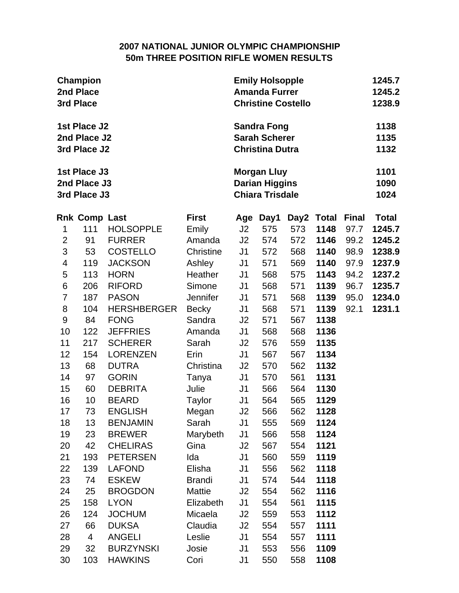## **2007 NATIONAL JUNIOR OLYMPIC CHAMPIONSHIP 50m THREE POSITION RIFLE WOMEN RESULTS**

|                  | Champion<br>2nd Place<br>3rd Place           |                                   |                 | <b>Emily Holsopple</b><br><b>Amanda Furrer</b><br><b>Christine Costello</b> |                                                                       | 1245.7<br>1245.2<br>1238.9 |              |              |                      |  |  |
|------------------|----------------------------------------------|-----------------------------------|-----------------|-----------------------------------------------------------------------------|-----------------------------------------------------------------------|----------------------------|--------------|--------------|----------------------|--|--|
|                  | 1st Place J2<br>2nd Place J2<br>3rd Place J2 |                                   |                 |                                                                             | <b>Sandra Fong</b><br><b>Sarah Scherer</b><br><b>Christina Dutra</b>  |                            |              |              | 1138<br>1135<br>1132 |  |  |
|                  | 1st Place J3<br>2nd Place J3<br>3rd Place J3 |                                   |                 |                                                                             | <b>Morgan Lluy</b><br><b>Darian Higgins</b><br><b>Chiara Trisdale</b> |                            |              |              | 1101<br>1090<br>1024 |  |  |
|                  | <b>Rnk Comp Last</b>                         |                                   | <b>First</b>    | Age                                                                         | Day1                                                                  | Day2                       | <b>Total</b> | <b>Final</b> | <b>Total</b>         |  |  |
| 1                | 111                                          | <b>HOLSOPPLE</b>                  | Emily           | J2                                                                          | 575                                                                   | 573                        | 1148         | 97.7         | 1245.7               |  |  |
| $\overline{2}$   | 91                                           | <b>FURRER</b>                     | Amanda          | J2                                                                          | 574                                                                   | 572                        | 1146         | 99.2         | 1245.2               |  |  |
| $\mathfrak{S}$   | 53                                           | <b>COSTELLO</b>                   | Christine       | J <sub>1</sub>                                                              | 572                                                                   | 568                        | 1140         | 98.9         | 1238.9               |  |  |
| 4                | 119                                          | <b>JACKSON</b>                    | Ashley          | J <sub>1</sub>                                                              | 571                                                                   | 569                        | 1140         | 97.9         | 1237.9               |  |  |
| 5                | 113                                          | <b>HORN</b>                       | <b>Heather</b>  | J <sub>1</sub>                                                              | 568                                                                   | 575                        | 1143         | 94.2         | 1237.2               |  |  |
| $\,6$            | 206                                          | <b>RIFORD</b>                     | Simone          | J <sub>1</sub>                                                              | 568                                                                   | 571                        | 1139         | 96.7         | 1235.7               |  |  |
| $\overline{7}$   | 187                                          | <b>PASON</b>                      | <b>Jennifer</b> | J <sub>1</sub>                                                              | 571                                                                   | 568                        | 1139         | 95.0         | 1234.0               |  |  |
| 8                | 104                                          | <b>HERSHBERGER</b>                | <b>Becky</b>    | J <sub>1</sub>                                                              | 568                                                                   | 571                        | 1139         | 92.1         | 1231.1               |  |  |
| $\boldsymbol{9}$ | 84                                           | <b>FONG</b>                       | Sandra          | J2                                                                          | 571                                                                   | 567                        | 1138         |              |                      |  |  |
| 10               | 122                                          | <b>JEFFRIES</b>                   | Amanda          | J <sub>1</sub>                                                              | 568                                                                   | 568                        | 1136         |              |                      |  |  |
| 11<br>12         | 217<br>154                                   | <b>SCHERER</b><br><b>LORENZEN</b> | Sarah<br>Erin   | J2<br>J <sub>1</sub>                                                        | 576<br>567                                                            | 559<br>567                 | 1135<br>1134 |              |                      |  |  |
| 13               | 68                                           | <b>DUTRA</b>                      | Christina       | J2                                                                          | 570                                                                   | 562                        | 1132         |              |                      |  |  |
| 14               | 97                                           | <b>GORIN</b>                      | Tanya           | J <sub>1</sub>                                                              | 570                                                                   | 561                        | 1131         |              |                      |  |  |
| 15               | 60                                           | <b>DEBRITA</b>                    | Julie           | J <sub>1</sub>                                                              | 566                                                                   | 564                        | 1130         |              |                      |  |  |
| 16               | 10                                           | <b>BEARD</b>                      | Taylor          | J <sub>1</sub>                                                              | 564                                                                   | 565                        | 1129         |              |                      |  |  |
| 17               | 73                                           | <b>ENGLISH</b>                    | Megan           | J2                                                                          | 566                                                                   | 562                        | 1128         |              |                      |  |  |
| 18               | 13                                           | <b>BENJAMIN</b>                   | Sarah           | J <sub>1</sub>                                                              | 555                                                                   | 569                        | 1124         |              |                      |  |  |
| 19               | 23                                           | <b>BREWER</b>                     | Marybeth        | J1                                                                          | 566                                                                   | 558                        | 1124         |              |                      |  |  |
| 20               | 42                                           | <b>CHELIRAS</b>                   | Gina            | J2                                                                          | 567                                                                   | 554                        | 1121         |              |                      |  |  |
| 21               | 193                                          | <b>PETERSEN</b>                   | Ida             | J <sub>1</sub>                                                              | 560                                                                   | 559                        | 1119         |              |                      |  |  |
| 22               | 139                                          | <b>LAFOND</b>                     | Elisha          | J <sub>1</sub>                                                              | 556                                                                   | 562                        | 1118         |              |                      |  |  |
| 23               | 74                                           | <b>ESKEW</b>                      | <b>Brandi</b>   | J <sub>1</sub>                                                              | 574                                                                   | 544                        | 1118         |              |                      |  |  |
| 24               | 25                                           | <b>BROGDON</b>                    | Mattie          | J2                                                                          | 554                                                                   | 562                        | 1116         |              |                      |  |  |
| 25               | 158                                          | <b>LYON</b>                       | Elizabeth       | J <sub>1</sub>                                                              | 554                                                                   | 561                        | 1115         |              |                      |  |  |
| 26               | 124                                          | <b>JOCHUM</b>                     | Micaela         | J2                                                                          | 559                                                                   | 553                        | 1112         |              |                      |  |  |
| 27               | 66                                           | <b>DUKSA</b>                      | Claudia         | J2                                                                          | 554                                                                   | 557                        | 1111         |              |                      |  |  |
| 28               | $\overline{\mathcal{A}}$                     | <b>ANGELI</b>                     | Leslie          | J <sub>1</sub>                                                              | 554                                                                   | 557                        | 1111         |              |                      |  |  |
| 29               | 32                                           | <b>BURZYNSKI</b>                  | Josie           | J <sub>1</sub>                                                              | 553                                                                   | 556                        | 1109         |              |                      |  |  |
| 30               | 103                                          | <b>HAWKINS</b>                    | Cori            | J1                                                                          | 550                                                                   | 558                        | 1108         |              |                      |  |  |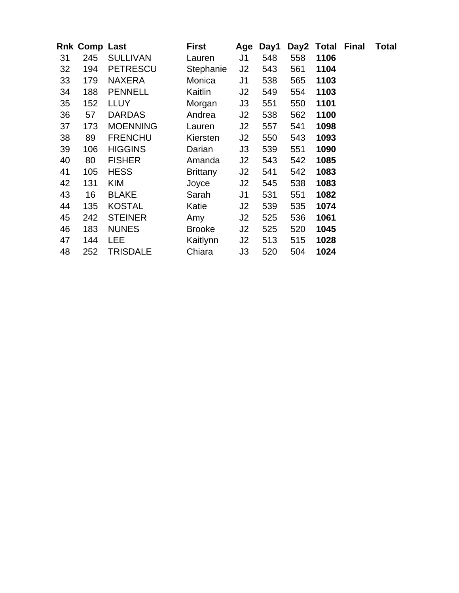|    | <b>Rnk Comp Last</b> |                 | <b>First</b>  | Age            | Day1 |     | Day2 Total Final | Total |
|----|----------------------|-----------------|---------------|----------------|------|-----|------------------|-------|
| 31 | 245                  | <b>SULLIVAN</b> | Lauren        | J1             | 548  | 558 | 1106             |       |
| 32 | 194                  | <b>PETRESCU</b> | Stephanie     | J <sub>2</sub> | 543  | 561 | 1104             |       |
| 33 | 179                  | <b>NAXERA</b>   | Monica        | J1             | 538  | 565 | 1103             |       |
| 34 | 188                  | <b>PENNELL</b>  | Kaitlin       | J2             | 549  | 554 | 1103             |       |
| 35 | 152                  | <b>LLUY</b>     | Morgan        | J3             | 551  | 550 | 1101             |       |
| 36 | 57                   | <b>DARDAS</b>   | Andrea        | J2             | 538  | 562 | 1100             |       |
| 37 | 173                  | <b>MOENNING</b> | Lauren        | J2             | 557  | 541 | 1098             |       |
| 38 | 89                   | <b>FRENCHU</b>  | Kiersten      | J2             | 550  | 543 | 1093             |       |
| 39 | 106                  | <b>HIGGINS</b>  | Darian        | J3             | 539  | 551 | 1090             |       |
| 40 | 80                   | <b>FISHER</b>   | Amanda        | J2             | 543  | 542 | 1085             |       |
| 41 | 105                  | <b>HESS</b>     | Brittany      | J2             | 541  | 542 | 1083             |       |
| 42 | 131                  | <b>KIM</b>      | Joyce         | J2             | 545  | 538 | 1083             |       |
| 43 | 16                   | <b>BLAKE</b>    | Sarah         | J <sub>1</sub> | 531  | 551 | 1082             |       |
| 44 | 135                  | <b>KOSTAL</b>   | Katie         | J2             | 539  | 535 | 1074             |       |
| 45 | 242                  | <b>STEINER</b>  | Amy           | J2             | 525  | 536 | 1061             |       |
| 46 | 183                  | <b>NUNES</b>    | <b>Brooke</b> | J2             | 525  | 520 | 1045             |       |
| 47 | 144                  | <b>LEE</b>      | Kaitlynn      | J2             | 513  | 515 | 1028             |       |
| 48 | 252                  | <b>TRISDALE</b> | Chiara        | J3             | 520  | 504 | 1024             |       |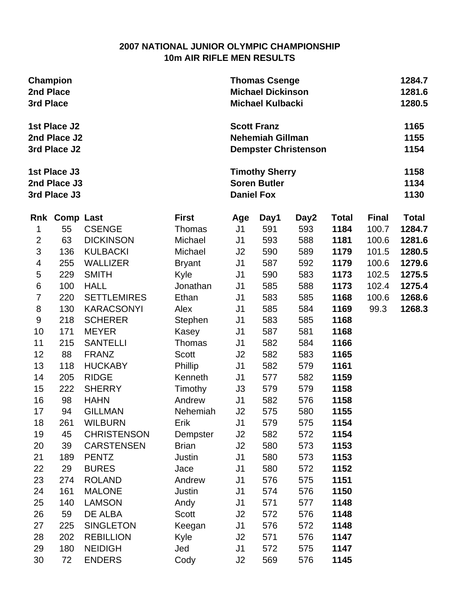## **2007 NATIONAL JUNIOR OLYMPIC CHAMPIONSHIP 10m AIR RIFLE MEN RESULTS**

| Champion<br>2nd Place<br>3rd Place |                                              |                    |               | <b>Thomas Csenge</b><br><b>Michael Dickinson</b><br><b>Michael Kulbacki</b> |                                               | 1284.7<br>1281.6<br>1280.5  |              |              |                      |
|------------------------------------|----------------------------------------------|--------------------|---------------|-----------------------------------------------------------------------------|-----------------------------------------------|-----------------------------|--------------|--------------|----------------------|
|                                    | 1st Place J2<br>2nd Place J2<br>3rd Place J2 |                    |               |                                                                             | <b>Scott Franz</b><br><b>Nehemiah Gillman</b> | <b>Dempster Christenson</b> |              |              | 1165<br>1155<br>1154 |
|                                    | 1st Place J3<br>2nd Place J3<br>3rd Place J3 |                    |               | <b>Daniel Fox</b>                                                           | <b>Timothy Sherry</b><br><b>Soren Butler</b>  |                             |              |              | 1158<br>1134<br>1130 |
|                                    | Rnk Comp Last                                |                    | <b>First</b>  | Age                                                                         | Day1                                          | Day2                        | <b>Total</b> | <b>Final</b> | <b>Total</b>         |
| 1                                  | 55                                           | <b>CSENGE</b>      | Thomas        | J <sub>1</sub>                                                              | 591                                           | 593                         | 1184         | 100.7        | 1284.7               |
| $\overline{2}$                     | 63                                           | <b>DICKINSON</b>   | Michael       | J1                                                                          | 593                                           | 588                         | 1181         | 100.6        | 1281.6               |
| 3                                  | 136                                          | <b>KULBACKI</b>    | Michael       | J <sub>2</sub>                                                              | 590                                           | 589                         | 1179         | 101.5        | 1280.5               |
| 4                                  | 255                                          | <b>WALLIZER</b>    | <b>Bryant</b> | J <sub>1</sub>                                                              | 587                                           | 592                         | 1179         | 100.6        | 1279.6               |
| 5                                  | 229                                          | <b>SMITH</b>       | Kyle          | J <sub>1</sub>                                                              | 590                                           | 583                         | 1173         | 102.5        | 1275.5               |
| $\,6$                              | 100                                          | <b>HALL</b>        | Jonathan      | J <sub>1</sub>                                                              | 585                                           | 588                         | 1173         | 102.4        | 1275.4               |
| $\overline{7}$                     | 220                                          | <b>SETTLEMIRES</b> | Ethan         | J <sub>1</sub>                                                              | 583                                           | 585                         | 1168         | 100.6        | 1268.6               |
| 8                                  | 130                                          | <b>KARACSONYI</b>  | Alex          | J1                                                                          | 585                                           | 584                         | 1169         | 99.3         | 1268.3               |
| $\boldsymbol{9}$                   | 218                                          | <b>SCHERER</b>     | Stephen       | J <sub>1</sub>                                                              | 583                                           | 585                         | 1168         |              |                      |
| 10                                 | 171                                          | <b>MEYER</b>       | Kasey         | J1                                                                          | 587                                           | 581                         | 1168         |              |                      |
| 11                                 | 215                                          | <b>SANTELLI</b>    | Thomas        | J1                                                                          | 582                                           | 584                         | 1166         |              |                      |
| 12                                 | 88                                           | <b>FRANZ</b>       | Scott         | J2                                                                          | 582                                           | 583                         | 1165         |              |                      |
| 13                                 | 118                                          | <b>HUCKABY</b>     | Phillip       | J <sub>1</sub>                                                              | 582                                           | 579                         | 1161         |              |                      |
| 14                                 | 205                                          | <b>RIDGE</b>       | Kenneth       | J <sub>1</sub>                                                              | 577                                           | 582                         | 1159         |              |                      |
| 15                                 | 222                                          | <b>SHERRY</b>      | Timothy       | J3                                                                          | 579                                           | 579                         | 1158         |              |                      |
| 16                                 | 98                                           | <b>HAHN</b>        | Andrew        | J <sub>1</sub>                                                              | 582                                           | 576                         | 1158         |              |                      |
| 17                                 | 94                                           | <b>GILLMAN</b>     | Nehemiah      | J2                                                                          | 575                                           | 580                         | 1155         |              |                      |
| 18                                 | 261                                          | <b>WILBURN</b>     | Erik          | J <sub>1</sub>                                                              | 579                                           | 575                         | 1154         |              |                      |
| 19                                 | 45                                           | <b>CHRISTENSON</b> | Dempster      | J2                                                                          | 582                                           | 572                         | 1154         |              |                      |
| 20                                 | 39                                           | <b>CARSTENSEN</b>  | <b>Brian</b>  | J2                                                                          | 580                                           | 573                         | 1153         |              |                      |
| 21                                 | 189                                          | <b>PENTZ</b>       | Justin        | J <sub>1</sub>                                                              | 580                                           | 573                         | 1153         |              |                      |
| 22                                 | 29                                           | <b>BURES</b>       | Jace          | J <sub>1</sub>                                                              | 580                                           | 572                         | 1152         |              |                      |
| 23                                 | 274                                          | <b>ROLAND</b>      | Andrew        | J <sub>1</sub>                                                              | 576                                           | 575                         | 1151         |              |                      |
| 24                                 | 161                                          | <b>MALONE</b>      | Justin        | J <sub>1</sub>                                                              | 574                                           | 576                         | 1150         |              |                      |
| 25                                 | 140                                          | <b>LAMSON</b>      | Andy          | J1                                                                          | 571                                           | 577                         | 1148         |              |                      |
| 26                                 | 59                                           | DE ALBA            | Scott         | J2                                                                          | 572                                           | 576                         | 1148         |              |                      |
| 27                                 | 225                                          | <b>SINGLETON</b>   | Keegan        | J <sub>1</sub>                                                              | 576                                           | 572                         | 1148         |              |                      |
| 28                                 | 202                                          | <b>REBILLION</b>   | Kyle          | J2                                                                          | 571                                           | 576                         | 1147         |              |                      |
| 29                                 | 180                                          | <b>NEIDIGH</b>     | Jed           | J <sub>1</sub>                                                              | 572                                           | 575                         | 1147         |              |                      |
| 30                                 | 72                                           | <b>ENDERS</b>      | Cody          | J2                                                                          | 569                                           | 576                         | 1145         |              |                      |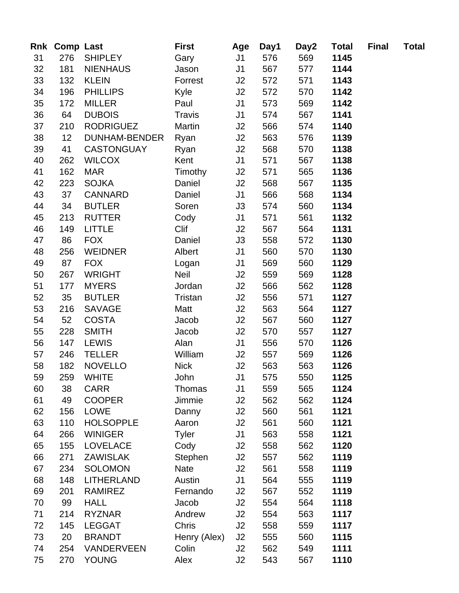|    | Rnk Comp Last   |                      | <b>First</b>  | Age            | Day1 | Day2 | <b>Total</b> | <b>Final</b> | <b>Total</b> |
|----|-----------------|----------------------|---------------|----------------|------|------|--------------|--------------|--------------|
| 31 | 276             | <b>SHIPLEY</b>       | Gary          | J1             | 576  | 569  | 1145         |              |              |
| 32 | 181             | <b>NIENHAUS</b>      | Jason         | J <sub>1</sub> | 567  | 577  | 1144         |              |              |
| 33 | 132             | <b>KLEIN</b>         | Forrest       | J2             | 572  | 571  | 1143         |              |              |
| 34 | 196             | <b>PHILLIPS</b>      | Kyle          | J2             | 572  | 570  | 1142         |              |              |
| 35 | 172             | <b>MILLER</b>        | Paul          | J <sub>1</sub> | 573  | 569  | 1142         |              |              |
| 36 | 64              | <b>DUBOIS</b>        | <b>Travis</b> | J <sub>1</sub> | 574  | 567  | 1141         |              |              |
| 37 | 210             | <b>RODRIGUEZ</b>     | Martin        | J2             | 566  | 574  | 1140         |              |              |
| 38 | 12 <sup>°</sup> | <b>DUNHAM-BENDER</b> | Ryan          | J2             | 563  | 576  | 1139         |              |              |
| 39 | 41              | <b>CASTONGUAY</b>    | Ryan          | J2             | 568  | 570  | 1138         |              |              |
| 40 | 262             | <b>WILCOX</b>        | Kent          | J <sub>1</sub> | 571  | 567  | 1138         |              |              |
| 41 | 162             | <b>MAR</b>           | Timothy       | J2             | 571  | 565  | 1136         |              |              |
| 42 | 223             | <b>SOJKA</b>         | Daniel        | J2             | 568  | 567  | 1135         |              |              |
| 43 | 37              | <b>CANNARD</b>       | Daniel        | J <sub>1</sub> | 566  | 568  | 1134         |              |              |
| 44 | 34              | <b>BUTLER</b>        | Soren         | J3             | 574  | 560  | 1134         |              |              |
| 45 | 213             | <b>RUTTER</b>        | Cody          | J <sub>1</sub> | 571  | 561  | 1132         |              |              |
| 46 | 149             | <b>LITTLE</b>        | Clif          | J2             | 567  | 564  | 1131         |              |              |
| 47 | 86              | <b>FOX</b>           | Daniel        | J3             | 558  | 572  | 1130         |              |              |
| 48 | 256             | <b>WEIDNER</b>       | Albert        | J <sub>1</sub> | 560  | 570  | 1130         |              |              |
| 49 | 87              | <b>FOX</b>           | Logan         | J <sub>1</sub> | 569  | 560  | 1129         |              |              |
| 50 | 267             | <b>WRIGHT</b>        | Neil          | J2             | 559  | 569  | 1128         |              |              |
| 51 | 177             | <b>MYERS</b>         | Jordan        | J2             | 566  | 562  | 1128         |              |              |
| 52 | 35              | <b>BUTLER</b>        | Tristan       | J2             | 556  | 571  | 1127         |              |              |
| 53 | 216             | <b>SAVAGE</b>        | Matt          | J2             | 563  | 564  | 1127         |              |              |
| 54 | 52              | <b>COSTA</b>         | Jacob         | J2             | 567  | 560  | 1127         |              |              |
| 55 | 228             | <b>SMITH</b>         | Jacob         | J2             | 570  | 557  | 1127         |              |              |
| 56 | 147             | <b>LEWIS</b>         | Alan          | J <sub>1</sub> | 556  | 570  | 1126         |              |              |
| 57 | 246             | <b>TELLER</b>        | William       | J2             | 557  | 569  | 1126         |              |              |
| 58 | 182             | <b>NOVELLO</b>       | <b>Nick</b>   | J2             | 563  | 563  | 1126         |              |              |
| 59 | 259             | WHITE                | John          | J1             | 575  | 550  | 1125         |              |              |
| 60 | 38              | <b>CARR</b>          | Thomas        | J1             | 559  | 565  | 1124         |              |              |
| 61 | 49              | <b>COOPER</b>        | Jimmie        | J <sub>2</sub> | 562  | 562  | 1124         |              |              |
| 62 | 156             | <b>LOWE</b>          | Danny         | J2             | 560  | 561  | 1121         |              |              |
| 63 | 110             | <b>HOLSOPPLE</b>     | Aaron         | J2             | 561  | 560  | 1121         |              |              |
| 64 | 266             | <b>WINIGER</b>       | <b>Tyler</b>  | J <sub>1</sub> | 563  | 558  | 1121         |              |              |
| 65 | 155             | <b>LOVELACE</b>      | Cody          | J2             | 558  | 562  | 1120         |              |              |
| 66 | 271             | <b>ZAWISLAK</b>      | Stephen       | J <sub>2</sub> | 557  | 562  | 1119         |              |              |
| 67 | 234             | <b>SOLOMON</b>       | <b>Nate</b>   | J2             | 561  | 558  | 1119         |              |              |
| 68 | 148             | <b>LITHERLAND</b>    | Austin        | J <sub>1</sub> | 564  | 555  | 1119         |              |              |
| 69 | 201             | <b>RAMIREZ</b>       | Fernando      | J2             | 567  | 552  | 1119         |              |              |
| 70 | 99              | <b>HALL</b>          | Jacob         | J2             | 554  | 564  | 1118         |              |              |
| 71 | 214             | <b>RYZNAR</b>        | Andrew        | J2             | 554  | 563  | 1117         |              |              |
| 72 | 145             | <b>LEGGAT</b>        | Chris         | J <sub>2</sub> | 558  | 559  | 1117         |              |              |
| 73 | 20              | <b>BRANDT</b>        | Henry (Alex)  | J2             | 555  | 560  | 1115         |              |              |
| 74 | 254             | <b>VANDERVEEN</b>    | Colin         | J2             | 562  | 549  | 1111         |              |              |
| 75 | 270             | <b>YOUNG</b>         | Alex          | J <sub>2</sub> | 543  | 567  | 1110         |              |              |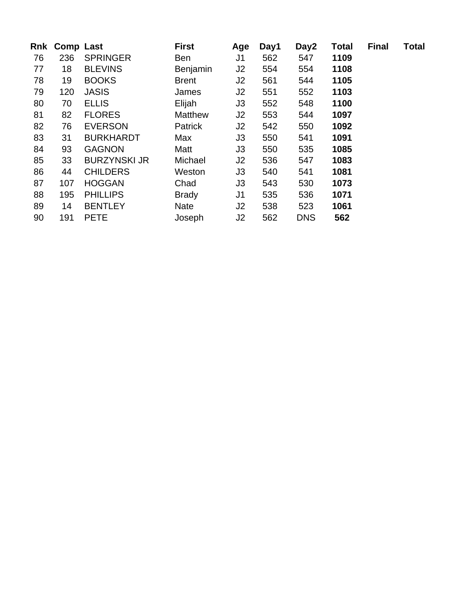| Rnk | <b>Comp Last</b> |                     | <b>First</b>   | Age            | Day1 | Day2       | <b>Total</b> | <b>Final</b> | <b>Total</b> |
|-----|------------------|---------------------|----------------|----------------|------|------------|--------------|--------------|--------------|
| 76  | 236              | <b>SPRINGER</b>     | Ben            | J <sub>1</sub> | 562  | 547        | 1109         |              |              |
| 77  | 18               | <b>BLEVINS</b>      | Benjamin       | J2             | 554  | 554        | 1108         |              |              |
| 78  | 19               | <b>BOOKS</b>        | <b>Brent</b>   | J <sub>2</sub> | 561  | 544        | 1105         |              |              |
| 79  | 120              | <b>JASIS</b>        | James          | J2             | 551  | 552        | 1103         |              |              |
| 80  | 70               | <b>ELLIS</b>        | Elijah         | J3             | 552  | 548        | 1100         |              |              |
| 81  | 82               | <b>FLORES</b>       | <b>Matthew</b> | J2             | 553  | 544        | 1097         |              |              |
| 82  | 76               | <b>EVERSON</b>      | Patrick        | J2             | 542  | 550        | 1092         |              |              |
| 83  | 31               | <b>BURKHARDT</b>    | Max            | J3             | 550  | 541        | 1091         |              |              |
| 84  | 93               | <b>GAGNON</b>       | Matt           | J3             | 550  | 535        | 1085         |              |              |
| 85  | 33               | <b>BURZYNSKI JR</b> | Michael        | J2             | 536  | 547        | 1083         |              |              |
| 86  | 44               | <b>CHILDERS</b>     | Weston         | J3             | 540  | 541        | 1081         |              |              |
| 87  | 107              | <b>HOGGAN</b>       | Chad           | J <sub>3</sub> | 543  | 530        | 1073         |              |              |
| 88  | 195              | <b>PHILLIPS</b>     | <b>Brady</b>   | J <sub>1</sub> | 535  | 536        | 1071         |              |              |
| 89  | 14               | <b>BENTLEY</b>      | <b>Nate</b>    | J2             | 538  | 523        | 1061         |              |              |
| 90  | 191              | <b>PETE</b>         | Joseph         | J <sub>2</sub> | 562  | <b>DNS</b> | 562          |              |              |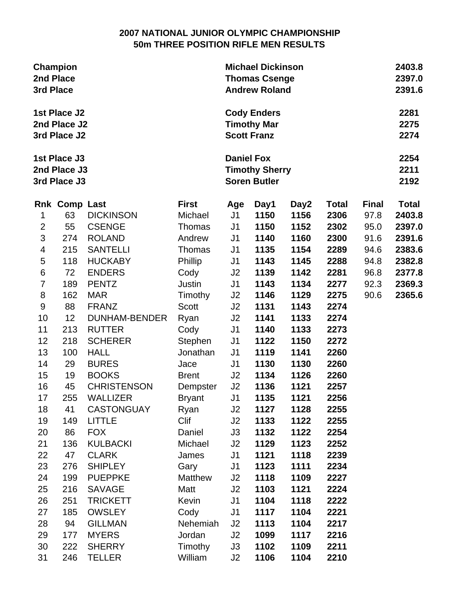## **2007 NATIONAL JUNIOR OLYMPIC CHAMPIONSHIP 50m THREE POSITION RIFLE MEN RESULTS**

| <b>Champion</b><br>2nd Place<br>3rd Place<br>1st Place J2<br>2nd Place J2<br>3rd Place J2 |                                              |                      |               |                                                                   | <b>Michael Dickinson</b><br><b>Thomas Csenge</b><br><b>Andrew Roland</b> |      |              |              |              |  |  |
|-------------------------------------------------------------------------------------------|----------------------------------------------|----------------------|---------------|-------------------------------------------------------------------|--------------------------------------------------------------------------|------|--------------|--------------|--------------|--|--|
|                                                                                           |                                              |                      |               |                                                                   | <b>Cody Enders</b><br><b>Timothy Mar</b><br><b>Scott Franz</b>           |      |              |              |              |  |  |
|                                                                                           | 1st Place J3<br>2nd Place J3<br>3rd Place J3 |                      |               | <b>Daniel Fox</b><br><b>Timothy Sherry</b><br><b>Soren Butler</b> |                                                                          |      |              |              |              |  |  |
|                                                                                           | <b>Rnk Comp Last</b>                         |                      | <b>First</b>  | Age                                                               | Day1                                                                     | Day2 | <b>Total</b> | <b>Final</b> | <b>Total</b> |  |  |
| 1                                                                                         | 63                                           | <b>DICKINSON</b>     | Michael       | J <sub>1</sub>                                                    | 1150                                                                     | 1156 | 2306         | 97.8         | 2403.8       |  |  |
| $\overline{2}$                                                                            | 55                                           | <b>CSENGE</b>        | Thomas        | J1                                                                | 1150                                                                     | 1152 | 2302         | 95.0         | 2397.0       |  |  |
| $\mathsf 3$                                                                               | 274                                          | <b>ROLAND</b>        | Andrew        | J <sub>1</sub>                                                    | 1140                                                                     | 1160 | 2300         | 91.6         | 2391.6       |  |  |
| $\overline{\mathbf{4}}$                                                                   | 215                                          | <b>SANTELLI</b>      | Thomas        | J1                                                                | 1135                                                                     | 1154 | 2289         | 94.6         | 2383.6       |  |  |
| 5                                                                                         | 118                                          | <b>HUCKABY</b>       | Phillip       | J1                                                                | 1143                                                                     | 1145 | 2288         | 94.8         | 2382.8       |  |  |
| $\,6$                                                                                     | 72                                           | <b>ENDERS</b>        | Cody          | J2                                                                | 1139                                                                     | 1142 | 2281         | 96.8         | 2377.8       |  |  |
| $\overline{7}$                                                                            | 189                                          | <b>PENTZ</b>         | Justin        | J <sub>1</sub>                                                    | 1143                                                                     | 1134 | 2277         | 92.3         | 2369.3       |  |  |
| 8                                                                                         | 162                                          | <b>MAR</b>           | Timothy       | J2                                                                | 1146                                                                     | 1129 | 2275         | 90.6         | 2365.6       |  |  |
| $\boldsymbol{9}$                                                                          | 88                                           | <b>FRANZ</b>         | <b>Scott</b>  | J2                                                                | 1131                                                                     | 1143 | 2274         |              |              |  |  |
| 10                                                                                        | 12                                           | <b>DUNHAM-BENDER</b> | Ryan          | J2                                                                | 1141                                                                     | 1133 | 2274         |              |              |  |  |
| 11                                                                                        | 213                                          | <b>RUTTER</b>        | Cody          | J <sub>1</sub>                                                    | 1140                                                                     | 1133 | 2273         |              |              |  |  |
| 12                                                                                        | 218                                          | <b>SCHERER</b>       | Stephen       | J <sub>1</sub>                                                    | 1122                                                                     | 1150 | 2272         |              |              |  |  |
| 13                                                                                        | 100                                          | <b>HALL</b>          | Jonathan      | J1                                                                | 1119                                                                     | 1141 | 2260         |              |              |  |  |
| 14                                                                                        | 29                                           | <b>BURES</b>         | Jace          | J1                                                                | 1130                                                                     | 1130 | 2260         |              |              |  |  |
| 15                                                                                        | 19                                           | <b>BOOKS</b>         | <b>Brent</b>  | J2                                                                | 1134                                                                     | 1126 | 2260         |              |              |  |  |
| 16                                                                                        | 45                                           | <b>CHRISTENSON</b>   | Dempster      | J2                                                                | 1136                                                                     | 1121 | 2257         |              |              |  |  |
| 17                                                                                        | 255                                          | <b>WALLIZER</b>      | <b>Bryant</b> | J <sub>1</sub>                                                    | 1135                                                                     | 1121 | 2256         |              |              |  |  |
| 18                                                                                        | 41                                           | <b>CASTONGUAY</b>    | Ryan          | J2                                                                | 1127                                                                     | 1128 | 2255         |              |              |  |  |
| 19                                                                                        | 149                                          | <b>LITTLE</b>        | Clif          | J2                                                                | 1133                                                                     | 1122 | 2255         |              |              |  |  |
| 20                                                                                        | 86                                           | <b>FOX</b>           | Daniel        | J3                                                                | 1132                                                                     | 1122 | 2254         |              |              |  |  |
| 21                                                                                        | 136                                          | <b>KULBACKI</b>      | Michael       | J2                                                                | 1129                                                                     | 1123 | 2252         |              |              |  |  |
| 22                                                                                        | 47                                           | <b>CLARK</b>         | James         | J <sub>1</sub>                                                    | 1121                                                                     | 1118 | 2239         |              |              |  |  |
| 23                                                                                        | 276                                          | <b>SHIPLEY</b>       | Gary          | J <sub>1</sub>                                                    | 1123                                                                     | 1111 | 2234         |              |              |  |  |
| 24                                                                                        | 199                                          | <b>PUEPPKE</b>       | Matthew       | J2                                                                | 1118                                                                     | 1109 | 2227         |              |              |  |  |
| 25                                                                                        | 216                                          | <b>SAVAGE</b>        | Matt          | J2                                                                | 1103                                                                     | 1121 | 2224         |              |              |  |  |
| 26                                                                                        | 251<br>185                                   | <b>TRICKETT</b>      | Kevin         | J <sub>1</sub>                                                    | 1104<br>1117                                                             | 1118 | 2222         |              |              |  |  |
| 27                                                                                        |                                              | <b>OWSLEY</b>        | Cody          | J1                                                                |                                                                          | 1104 | 2221         |              |              |  |  |
| 28                                                                                        | 94<br>177                                    | <b>GILLMAN</b>       | Nehemiah      | J <sub>2</sub>                                                    | 1113                                                                     | 1104 | 2217         |              |              |  |  |
| 29                                                                                        | 222                                          | <b>MYERS</b>         | Jordan        | J2                                                                | 1099<br>1102                                                             | 1117 | 2216<br>2211 |              |              |  |  |
| 30                                                                                        |                                              | <b>SHERRY</b>        | Timothy       | J3                                                                |                                                                          | 1109 |              |              |              |  |  |
| 31                                                                                        | 246                                          | <b>TELLER</b>        | William       | J2                                                                | 1106                                                                     | 1104 | 2210         |              |              |  |  |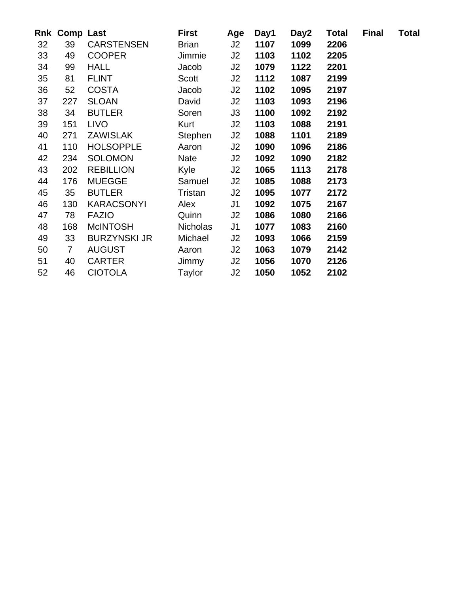|                 |                | <b>Rnk Comp Last</b> | <b>First</b>    | Age            | Day1 | Day2 | <b>Total</b> | <b>Final</b> | <b>Total</b> |
|-----------------|----------------|----------------------|-----------------|----------------|------|------|--------------|--------------|--------------|
| 32 <sub>2</sub> | 39             | CARSTENSEN           | <b>Brian</b>    | J2             | 1107 | 1099 | 2206         |              |              |
| 33              | 49             | <b>COOPER</b>        | Jimmie          | J2             | 1103 | 1102 | 2205         |              |              |
| 34              | 99             | <b>HALL</b>          | Jacob           | J2             | 1079 | 1122 | 2201         |              |              |
| 35              | 81             | <b>FLINT</b>         | Scott           | J2             | 1112 | 1087 | 2199         |              |              |
| 36              | 52             | COSTA                | Jacob           | J2             | 1102 | 1095 | 2197         |              |              |
| 37              | 227            | <b>SLOAN</b>         | David           | J2             | 1103 | 1093 | 2196         |              |              |
| 38              | 34             | <b>BUTLER</b>        | Soren           | J3             | 1100 | 1092 | 2192         |              |              |
| 39              | 151            | <b>LIVO</b>          | Kurt            | J2             | 1103 | 1088 | 2191         |              |              |
| 40              | 271            | <b>ZAWISLAK</b>      | Stephen         | J2             | 1088 | 1101 | 2189         |              |              |
| 41              | 110            | <b>HOLSOPPLE</b>     | Aaron           | J2             | 1090 | 1096 | 2186         |              |              |
| 42              | 234            | <b>SOLOMON</b>       | Nate            | J2             | 1092 | 1090 | 2182         |              |              |
| 43              | 202            | <b>REBILLION</b>     | Kyle            | J2             | 1065 | 1113 | 2178         |              |              |
| 44              | 176            | <b>MUEGGE</b>        | Samuel          | J2             | 1085 | 1088 | 2173         |              |              |
| 45              | 35             | <b>BUTLER</b>        | Tristan         | J2             | 1095 | 1077 | 2172         |              |              |
| 46              | 130            | KARACSONYI           | Alex            | J1             | 1092 | 1075 | 2167         |              |              |
| 47              | 78             | <b>FAZIO</b>         | Quinn           | J2             | 1086 | 1080 | 2166         |              |              |
| 48              | 168            | McINTOSH             | <b>Nicholas</b> | J <sub>1</sub> | 1077 | 1083 | 2160         |              |              |
| 49              | 33             | <b>BURZYNSKI JR</b>  | Michael         | J2             | 1093 | 1066 | 2159         |              |              |
| 50              | $\overline{7}$ | <b>AUGUST</b>        | Aaron           | J2             | 1063 | 1079 | 2142         |              |              |
| 51              | 40             | CARTER               | Jimmy           | J2             | 1056 | 1070 | 2126         |              |              |
| 52              | 46             | <b>CIOTOLA</b>       | Taylor          | J2             | 1050 | 1052 | 2102         |              |              |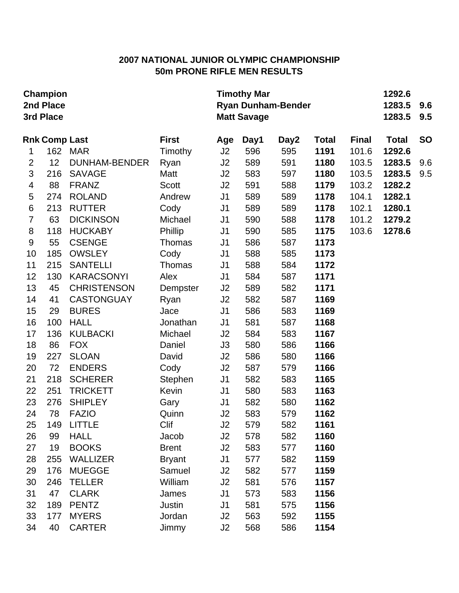# **2007 NATIONAL JUNIOR OLYMPIC CHAMPIONSHIP 50m PRONE RIFLE MEN RESULTS**

| Champion<br>2nd Place<br>3rd Place |                      |                      |               |                | <b>Timothy Mar</b><br><b>Ryan Dunham-Bender</b><br><b>Matt Savage</b> | 1292.6<br>1283.5<br>1283.5 | 9.6<br>9.5   |              |              |           |
|------------------------------------|----------------------|----------------------|---------------|----------------|-----------------------------------------------------------------------|----------------------------|--------------|--------------|--------------|-----------|
|                                    | <b>Rnk Comp Last</b> |                      | <b>First</b>  | Age            | Day1                                                                  | Day2                       | <b>Total</b> | <b>Final</b> | <b>Total</b> | <b>SO</b> |
| 1                                  | 162                  | <b>MAR</b>           | Timothy       | J2             | 596                                                                   | 595                        | 1191         | 101.6        | 1292.6       |           |
| $\overline{2}$                     | 12                   | <b>DUNHAM-BENDER</b> | Ryan          | J2             | 589                                                                   | 591                        | 1180         | 103.5        | 1283.5       | 9.6       |
| 3                                  | 216                  | <b>SAVAGE</b>        | Matt          | J2             | 583                                                                   | 597                        | 1180         | 103.5        | 1283.5       | 9.5       |
| $\overline{\mathcal{A}}$           | 88                   | <b>FRANZ</b>         | <b>Scott</b>  | J2             | 591                                                                   | 588                        | 1179         | 103.2        | 1282.2       |           |
| 5                                  | 274                  | <b>ROLAND</b>        | Andrew        | J <sub>1</sub> | 589                                                                   | 589                        | 1178         | 104.1        | 1282.1       |           |
| $\,6$                              | 213                  | <b>RUTTER</b>        | Cody          | J <sub>1</sub> | 589                                                                   | 589                        | 1178         | 102.1        | 1280.1       |           |
| $\overline{7}$                     | 63                   | <b>DICKINSON</b>     | Michael       | J <sub>1</sub> | 590                                                                   | 588                        | 1178         | 101.2        | 1279.2       |           |
| 8                                  | 118                  | <b>HUCKABY</b>       | Phillip       | J <sub>1</sub> | 590                                                                   | 585                        | 1175         | 103.6        | 1278.6       |           |
| $9\,$                              | 55                   | <b>CSENGE</b>        | Thomas        | J <sub>1</sub> | 586                                                                   | 587                        | 1173         |              |              |           |
| 10                                 | 185                  | <b>OWSLEY</b>        | Cody          | J <sub>1</sub> | 588                                                                   | 585                        | 1173         |              |              |           |
| 11                                 | 215                  | <b>SANTELLI</b>      | Thomas        | J <sub>1</sub> | 588                                                                   | 584                        | 1172         |              |              |           |
| 12                                 | 130                  | <b>KARACSONYI</b>    | Alex          | J <sub>1</sub> | 584                                                                   | 587                        | 1171         |              |              |           |
| 13                                 | 45                   | <b>CHRISTENSON</b>   | Dempster      | J2             | 589                                                                   | 582                        | 1171         |              |              |           |
| 14                                 | 41                   | <b>CASTONGUAY</b>    | Ryan          | J2             | 582                                                                   | 587                        | 1169         |              |              |           |
| 15                                 | 29                   | <b>BURES</b>         | Jace          | J <sub>1</sub> | 586                                                                   | 583                        | 1169         |              |              |           |
| 16                                 | 100                  | <b>HALL</b>          | Jonathan      | J <sub>1</sub> | 581                                                                   | 587                        | 1168         |              |              |           |
| 17                                 | 136                  | <b>KULBACKI</b>      | Michael       | J2             | 584                                                                   | 583                        | 1167         |              |              |           |
| 18                                 | 86                   | <b>FOX</b>           | Daniel        | J3             | 580                                                                   | 586                        | 1166         |              |              |           |
| 19                                 | 227                  | <b>SLOAN</b>         | David         | J2             | 586                                                                   | 580                        | 1166         |              |              |           |
| 20                                 | 72                   | <b>ENDERS</b>        | Cody          | J2             | 587                                                                   | 579                        | 1166         |              |              |           |
| 21                                 | 218                  | <b>SCHERER</b>       | Stephen       | J <sub>1</sub> | 582                                                                   | 583                        | 1165         |              |              |           |
| 22                                 | 251                  | <b>TRICKETT</b>      | Kevin         | J <sub>1</sub> | 580                                                                   | 583                        | 1163         |              |              |           |
| 23                                 | 276                  | <b>SHIPLEY</b>       | Gary          | J <sub>1</sub> | 582                                                                   | 580                        | 1162         |              |              |           |
| 24                                 | 78                   | <b>FAZIO</b>         | Quinn         | J2             | 583                                                                   | 579                        | 1162         |              |              |           |
| 25                                 | 149                  | <b>LITTLE</b>        | Clif          | J2             | 579                                                                   | 582                        | 1161         |              |              |           |
| 26                                 | 99                   | <b>HALL</b>          | Jacob         | J <sub>2</sub> | 578                                                                   | 582                        | 1160         |              |              |           |
| 27                                 | 19                   | <b>BOOKS</b>         | <b>Brent</b>  | J2             | 583                                                                   | 577                        | 1160         |              |              |           |
| 28                                 | 255                  | <b>WALLIZER</b>      | <b>Bryant</b> | J <sub>1</sub> | 577                                                                   | 582                        | 1159         |              |              |           |
| 29                                 | 176                  | <b>MUEGGE</b>        | Samuel        | J2             | 582                                                                   | 577                        | 1159         |              |              |           |
| 30                                 | 246                  | <b>TELLER</b>        | William       | J2             | 581                                                                   | 576                        | 1157         |              |              |           |
| 31                                 | 47                   | <b>CLARK</b>         | James         | J <sub>1</sub> | 573                                                                   | 583                        | 1156         |              |              |           |
| 32                                 | 189                  | <b>PENTZ</b>         | Justin        | J <sub>1</sub> | 581                                                                   | 575                        | 1156         |              |              |           |
| 33                                 | 177                  | <b>MYERS</b>         | Jordan        | J2             | 563                                                                   | 592                        | 1155         |              |              |           |
| 34                                 | 40                   | <b>CARTER</b>        | Jimmy         | J2             | 568                                                                   | 586                        | 1154         |              |              |           |